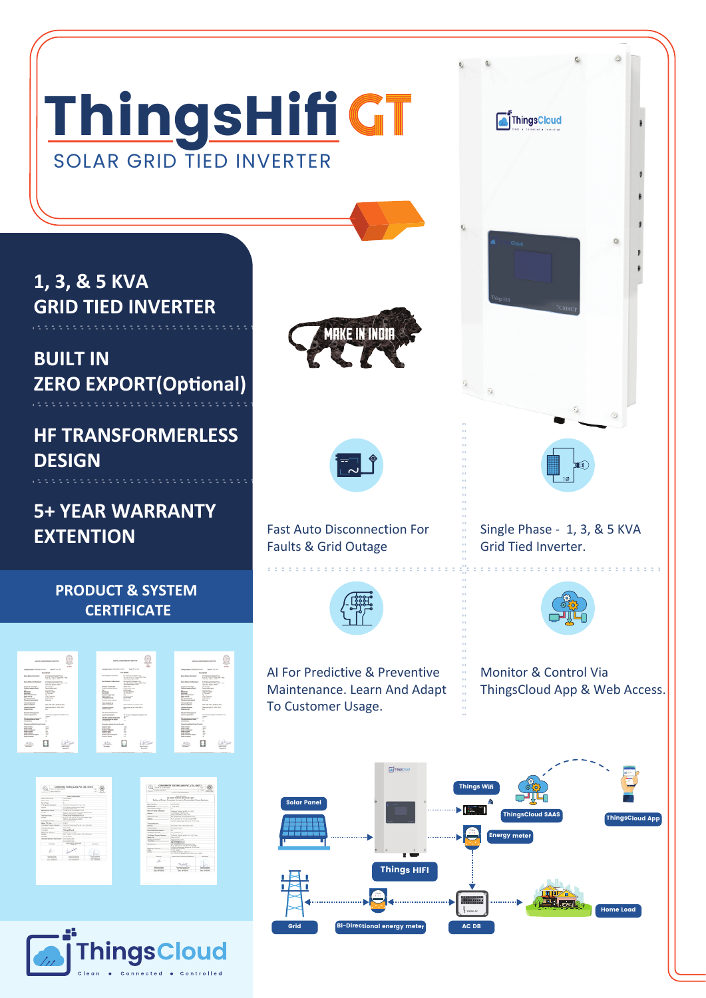## ThingsHifi GT SOLAR GRID TIED INVERTER

**1, 3, & 5 KVA GRID TIED INVERTER**

**BUILT IN ZERO EXPORT(Optional)** 

**HF TRANSFORMERLESS DESIGN**

**5+ YEAR WARRANTY EXTENTION**

**PRODUCT & SYSTEM**

 **CERTIFICATE**

 $\Box$ 

 $\Box \quad \boxplus$  $\Box$ 







Fast Auto Disconnection For Faults & Grid Outage



AI For Predictive & Preventive Maintenance. Learn And Adapt To Customer Usage.



Single Phase - 1, 3, & 5 KVA

Grid Tied Inverter.

ThingsCloud

Monitor & Control Via ThingsCloud App & Web Access.